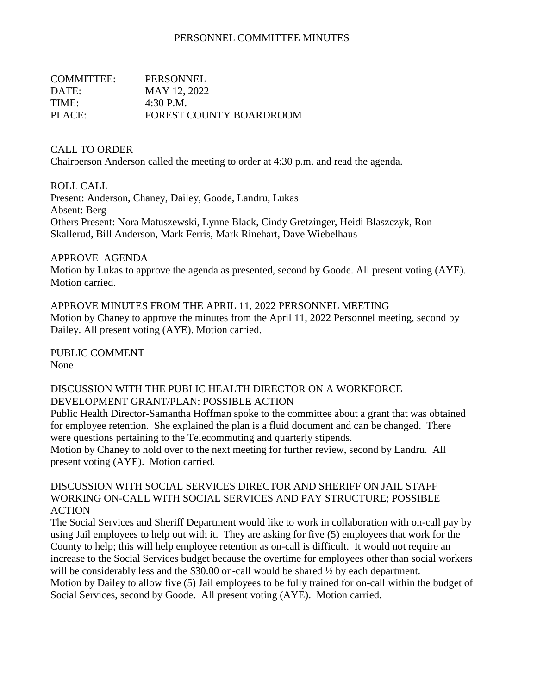### PERSONNEL COMMITTEE MINUTES

| COMMITTEE: | PERSONNEL                      |
|------------|--------------------------------|
| DATE:      | MAY 12, 2022                   |
| TIME:      | 4:30 P.M.                      |
| PLACE:     | <b>FOREST COUNTY BOARDROOM</b> |

#### CALL TO ORDER

Chairperson Anderson called the meeting to order at 4:30 p.m. and read the agenda.

#### ROLL CALL

Present: Anderson, Chaney, Dailey, Goode, Landru, Lukas Absent: Berg Others Present: Nora Matuszewski, Lynne Black, Cindy Gretzinger, Heidi Blaszczyk, Ron Skallerud, Bill Anderson, Mark Ferris, Mark Rinehart, Dave Wiebelhaus

### APPROVE AGENDA

Motion by Lukas to approve the agenda as presented, second by Goode. All present voting (AYE). Motion carried.

APPROVE MINUTES FROM THE APRIL 11, 2022 PERSONNEL MEETING Motion by Chaney to approve the minutes from the April 11, 2022 Personnel meeting, second by Dailey. All present voting (AYE). Motion carried.

PUBLIC COMMENT None

### DISCUSSION WITH THE PUBLIC HEALTH DIRECTOR ON A WORKFORCE DEVELOPMENT GRANT/PLAN: POSSIBLE ACTION

Public Health Director-Samantha Hoffman spoke to the committee about a grant that was obtained for employee retention. She explained the plan is a fluid document and can be changed. There were questions pertaining to the Telecommuting and quarterly stipends.

Motion by Chaney to hold over to the next meeting for further review, second by Landru. All present voting (AYE). Motion carried.

#### DISCUSSION WITH SOCIAL SERVICES DIRECTOR AND SHERIFF ON JAIL STAFF WORKING ON-CALL WITH SOCIAL SERVICES AND PAY STRUCTURE; POSSIBLE ACTION

The Social Services and Sheriff Department would like to work in collaboration with on-call pay by using Jail employees to help out with it. They are asking for five (5) employees that work for the County to help; this will help employee retention as on-call is difficult. It would not require an increase to the Social Services budget because the overtime for employees other than social workers will be considerably less and the \$30.00 on-call would be shared  $\frac{1}{2}$  by each department. Motion by Dailey to allow five (5) Jail employees to be fully trained for on-call within the budget of Social Services, second by Goode. All present voting (AYE). Motion carried.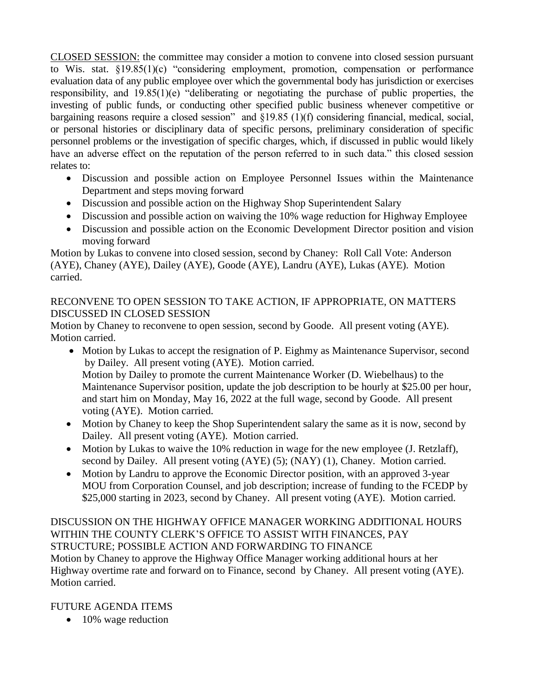CLOSED SESSION: the committee may consider a motion to convene into closed session pursuant to Wis. stat. §19.85(1)(c) "considering employment, promotion, compensation or performance evaluation data of any public employee over which the governmental body has jurisdiction or exercises responsibility, and 19.85(1)(e) "deliberating or negotiating the purchase of public properties, the investing of public funds, or conducting other specified public business whenever competitive or bargaining reasons require a closed session" and §19.85 (1)(f) considering financial, medical, social, or personal histories or disciplinary data of specific persons, preliminary consideration of specific personnel problems or the investigation of specific charges, which, if discussed in public would likely have an adverse effect on the reputation of the person referred to in such data." this closed session relates to:

- Discussion and possible action on Employee Personnel Issues within the Maintenance Department and steps moving forward
- Discussion and possible action on the Highway Shop Superintendent Salary
- Discussion and possible action on waiving the 10% wage reduction for Highway Employee
- Discussion and possible action on the Economic Development Director position and vision moving forward

Motion by Lukas to convene into closed session, second by Chaney: Roll Call Vote: Anderson (AYE), Chaney (AYE), Dailey (AYE), Goode (AYE), Landru (AYE), Lukas (AYE). Motion carried.

# RECONVENE TO OPEN SESSION TO TAKE ACTION, IF APPROPRIATE, ON MATTERS DISCUSSED IN CLOSED SESSION

Motion by Chaney to reconvene to open session, second by Goode. All present voting (AYE). Motion carried.

- Motion by Lukas to accept the resignation of P. Eighmy as Maintenance Supervisor, second by Dailey. All present voting (AYE). Motion carried. Motion by Dailey to promote the current Maintenance Worker (D. Wiebelhaus) to the Maintenance Supervisor position, update the job description to be hourly at \$25.00 per hour, and start him on Monday, May 16, 2022 at the full wage, second by Goode. All present voting (AYE). Motion carried.
- Motion by Chaney to keep the Shop Superintendent salary the same as it is now, second by Dailey. All present voting (AYE). Motion carried.
- Motion by Lukas to waive the 10% reduction in wage for the new employee (J. Retzlaff), second by Dailey. All present voting (AYE) (5); (NAY) (1), Chaney. Motion carried.
- Motion by Landru to approve the Economic Director position, with an approved 3-year MOU from Corporation Counsel, and job description; increase of funding to the FCEDP by \$25,000 starting in 2023, second by Chaney. All present voting (AYE). Motion carried.

DISCUSSION ON THE HIGHWAY OFFICE MANAGER WORKING ADDITIONAL HOURS WITHIN THE COUNTY CLERK'S OFFICE TO ASSIST WITH FINANCES, PAY STRUCTURE; POSSIBLE ACTION AND FORWARDING TO FINANCE Motion by Chaney to approve the Highway Office Manager working additional hours at her Highway overtime rate and forward on to Finance, second by Chaney. All present voting (AYE).

Motion carried.

# FUTURE AGENDA ITEMS

• 10% wage reduction